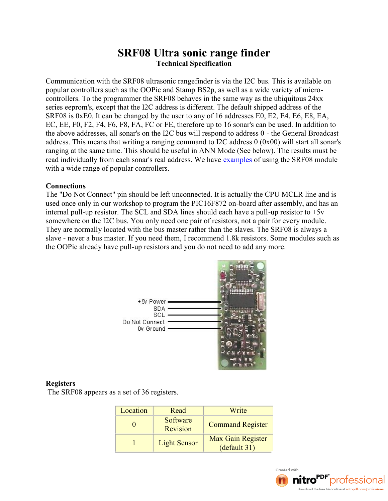# SRF08 Ultra sonic range finder Technical Specification

Communication with the SRF08 ultrasonic rangefinder is via the popular controllers such as BhSe2p,OaPsicwæmhdaSstæmwpide variety of controllers. To the programmer the SRF08 behaves in the same series eeprom's, except that the I2C address is different. The SRF08 is 0xE0. It class the univelant of the addresses E0, E2, EC, EE, F0, F2, F4, F6, F8, FA, FC or FE, therefore up to 16 s the above addresses, all sonar's on the I-206eb G smeil alrespond cats adress. This means that writing a ranging command to I2C add ranging at the same time. This should be useful in ANN Mode ( read individually from each sonare'ssamepoolfeanudsdnegs. In eWSeRhFa0v8e modu with a wide range of popular controllers.

#### Connections

The "Do Not Connect" pin should be left unconnected. It is act used comder in our workshop to prograbing athologient  $\mathsf{ER1C}$  and  $\mathsf{B8}$  and  $\mathsf{B8}$ internalupurlesistor. The SCL and SDA line-sips hessilssite at to  $h$  ave a somewhere on the I2C bus. You only need onerpamino bulleesistors They are normally located with the bus master rather than the slaveever a bus master. If you need them, I recommend 1.8k re the OOPic already phrae vseis plouds and  $\theta$  of utodoa do the net more.

#### Registers

The SRF08 appears as a set of 36 registers.

| Locati | Read              | Write                   |
|--------|-------------------|-------------------------|
|        | Softwa<br>Revisic | Command R               |
|        | Light Se          | Max Gain R<br>default 3 |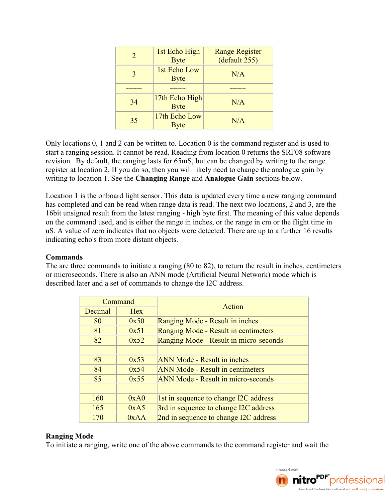| $\mathcal{D}_{\cdot}$ | 1st Echo High<br><b>Byte</b>  | <b>Range Register</b><br>(default 255) |
|-----------------------|-------------------------------|----------------------------------------|
| 3                     | 1st Echo Low<br><b>Byte</b>   | N/A                                    |
|                       |                               |                                        |
| 34                    | 17th Echo High<br><b>Byte</b> | N/A                                    |
| 35                    | 17th Echo Low<br><b>Byte</b>  | N/A                                    |

Only locations 0, 1 and 2 can be written to. Location 0 is the command register and is used to start a ranging session. It cannot be read. Reading from location 0 returns the SRF08 software revision. By default, the ranging lasts for 65mS, but can be changed by writing to the range register at location 2. If you do so, then you will likely need to change the analogue gain by writing to location 1. See the **Changing Range** and **Analogue Gain** sections below.

Location 1 is the onboard light sensor. This data is updated every time a new ranging command has completed and can be read when range data is read. The next two locations, 2 and 3, are the 16bit unsigned result from the latest ranging - high byte first. The meaning of this value depends on the command used, and is either the range in inches, or the range in cm or the flight time in uS. A value of zero indicates that no objects were detected. There are up to a further 16 results indicating echo's from more distant objects.

### **Commands**

The are three commands to initiate a ranging (80 to 82), to return the result in inches, centimeters or microseconds. There is also an ANN mode (Artificial Neural Network) mode which is described later and a set of commands to change the I2C address.

|         | Command    | Action                                    |  |
|---------|------------|-------------------------------------------|--|
| Decimal | <b>Hex</b> |                                           |  |
| 80      | 0x50       | Ranging Mode - Result in inches           |  |
| 81      | 0x51       | Ranging Mode - Result in centimeters      |  |
| 82      | 0x52       | Ranging Mode - Result in micro-seconds    |  |
|         |            |                                           |  |
| 83      | 0x53       | <b>ANN Mode - Result in inches</b>        |  |
| 84      | 0x54       | <b>ANN Mode - Result in centimeters</b>   |  |
| 85      | 0x55       | <b>ANN Mode - Result in micro-seconds</b> |  |
|         |            |                                           |  |
| 160     | 0xA0       | 1st in sequence to change I2C address     |  |
| 165     | 0xA5       | 3rd in sequence to change I2C address     |  |
| 170     | 0xAA       | 2nd in sequence to change I2C address     |  |

### **Ranging Mode**

To initiate a ranging, write one of the above commands to the command register and wait the

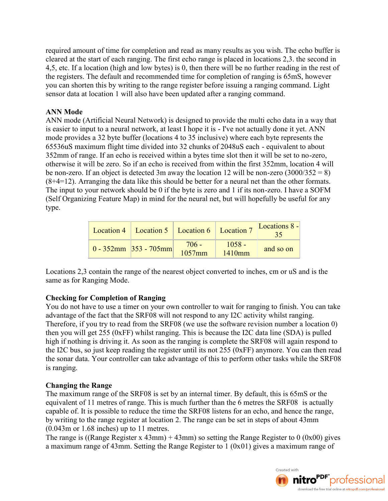required amount of time for completion and read as many results as you wish. The echo buffer is cleared at the start of each ranging. The first echo range is placed in locations 2,3. the second in 4,5, etc. If a location (high and low bytes) is 0, then there will be no further reading in the rest of the registers. The default and recommended time for completion of ranging is 65mS, however you can shorten this by writing to the range register before issuing a ranging command. Light sensor data at location 1 will also have been updated after a ranging command.

# **ANN Mode**

ANN mode (Artificial Neural Network) is designed to provide the multi echo data in a way that is easier to input to a neural network, at least I hope it is - I've not actually done it yet. ANN mode provides a 32 byte buffer (locations 4 to 35 inclusive) where each byte represents the 65536uS maximum flight time divided into 32 chunks of 2048uS each - equivalent to about 352mm of range. If an echo is received within a bytes time slot then it will be set to no-zero, otherwise it will be zero. So if an echo is received from within the first 352mm, location 4 will be non-zero. If an object is detected 3m away the location 12 will be non-zero  $(3000/352 = 8)$ (8+4=12). Arranging the data like this should be better for a neural net than the other formats. The input to your network should be 0 if the byte is zero and 1 if its non-zero. I have a SOFM (Self Organizing Feature Map) in mind for the neural net, but will hopefully be useful for any type.

| Location 4   Location 5   Location 6   Location 7 |                   |                    | Locations $8 -$ |
|---------------------------------------------------|-------------------|--------------------|-----------------|
| $0 - 352$ mm 353 - 705mm                          | $706 -$<br>1057mm | $1058 -$<br>1410mm | and so on       |

Locations 2,3 contain the range of the nearest object converted to inches, cm or uS and is the same as for Ranging Mode.

# **Checking for Completion of Ranging**

You do not have to use a timer on your own controller to wait for ranging to finish. You can take advantage of the fact that the SRF08 will not respond to any I2C activity whilst ranging. Therefore, if you try to read from the SRF08 (we use the software revision number a location 0) then you will get 255 (0xFF) whilst ranging. This is because the I2C data line (SDA) is pulled high if nothing is driving it. As soon as the ranging is complete the SRF08 will again respond to the I2C bus, so just keep reading the register until its not 255 (0xFF) anymore. You can then read the sonar data. Your controller can take advantage of this to perform other tasks while the SRF08 is ranging.

# **Changing the Range**

The maximum range of the SRF08 is set by an internal timer. By default, this is 65mS or the equivalent of 11 metres of range. This is much further than the 6 metres the SRF08 is actually capable of. It is possible to reduce the time the SRF08 listens for an echo, and hence the range, by writing to the range register at location 2. The range can be set in steps of about 43mm (0.043m or 1.68 inches) up to 11 metres.

The range is ((Range Register x 43mm) + 43mm) so setting the Range Register to 0 (0x00) gives a maximum range of 43mm. Setting the Range Register to 1 (0x01) gives a maximum range of

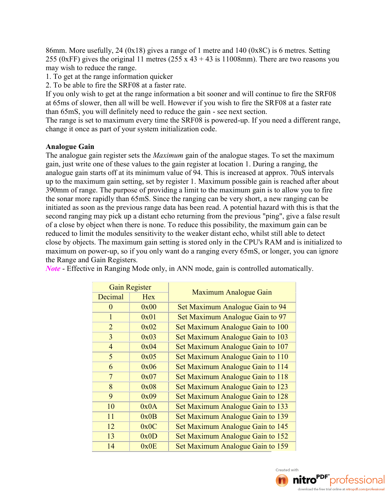86mm. More usefully, 24 (0x18) gives a range of 1 metre and 140 (0x8C) is 6 metres. Setting 255 (0xFF) gives the original 11 metres (255 x 43 + 43 is 11008mm). There are two reasons you may wish to reduce the range.

1. To get at the range information quicker

2. To be able to fire the SRF08 at a faster rate.

If you only wish to get at the range information a bit sooner and will continue to fire the SRF08 at 65ms of slower, then all will be well. However if you wish to fire the SRF08 at a faster rate than 65mS, you will definitely need to reduce the gain - see next section.

The range is set to maximum every time the SRF08 is powered-up. If you need a different range, change it once as part of your system initialization code.

### **Analogue Gain**

The analogue gain register sets the *Maximum* gain of the analogue stages. To set the maximum gain, just write one of these values to the gain register at location 1. During a ranging, the analogue gain starts off at its minimum value of 94. This is increased at approx. 70uS intervals up to the maximum gain setting, set by register 1. Maximum possible gain is reached after about 390mm of range. The purpose of providing a limit to the maximum gain is to allow you to fire the sonar more rapidly than 65mS. Since the ranging can be very short, a new ranging can be initiated as soon as the previous range data has been read. A potential hazard with this is that the second ranging may pick up a distant echo returning from the previous "ping", give a false result of a close by object when there is none. To reduce this possibility, the maximum gain can be reduced to limit the modules sensitivity to the weaker distant echo, whilst still able to detect close by objects. The maximum gain setting is stored only in the CPU's RAM and is initialized to maximum on power-up, so if you only want do a ranging every 65mS, or longer, you can ignore the Range and Gain Registers.

|                | <b>Gain Register</b> | Maximum Analogue Gain            |  |
|----------------|----------------------|----------------------------------|--|
| Decimal        | <b>Hex</b>           |                                  |  |
| $\theta$       | 0x00                 | Set Maximum Analogue Gain to 94  |  |
| $\mathbf{1}$   | 0x01                 | Set Maximum Analogue Gain to 97  |  |
| $\overline{2}$ | 0x02                 | Set Maximum Analogue Gain to 100 |  |
| $\overline{3}$ | 0x03                 | Set Maximum Analogue Gain to 103 |  |
| $\overline{4}$ | 0x04                 | Set Maximum Analogue Gain to 107 |  |
| 5              | 0x05                 | Set Maximum Analogue Gain to 110 |  |
| 6              | 0x06                 | Set Maximum Analogue Gain to 114 |  |
| $\overline{7}$ | 0x07                 | Set Maximum Analogue Gain to 118 |  |
| 8              | 0x08                 | Set Maximum Analogue Gain to 123 |  |
| 9              | 0x09                 | Set Maximum Analogue Gain to 128 |  |
| 10             | 0x0A                 | Set Maximum Analogue Gain to 133 |  |
| 11             | 0x0B                 | Set Maximum Analogue Gain to 139 |  |
| 12             | 0x0C                 | Set Maximum Analogue Gain to 145 |  |
| 13             | 0x0D                 | Set Maximum Analogue Gain to 152 |  |
| 14             | 0x0E                 | Set Maximum Analogue Gain to 159 |  |

*Note* - Effective in Ranging Mode only, in ANN mode, gain is controlled automatically.

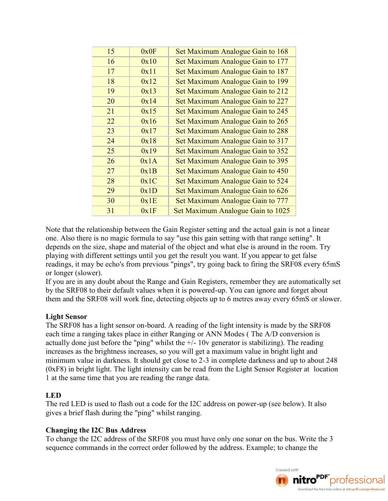| 15 | 0x0F | Set Maximum Analogue Gain to 168  |
|----|------|-----------------------------------|
| 16 | 0x10 | Set Maximum Analogue Gain to 177  |
| 17 | 0x11 | Set Maximum Analogue Gain to 187  |
| 18 | 0x12 | Set Maximum Analogue Gain to 199  |
| 19 | 0x13 | Set Maximum Analogue Gain to 212  |
| 20 | 0x14 | Set Maximum Analogue Gain to 227  |
| 21 | 0x15 | Set Maximum Analogue Gain to 245  |
| 22 | 0x16 | Set Maximum Analogue Gain to 265  |
| 23 | 0x17 | Set Maximum Analogue Gain to 288  |
| 24 | 0x18 | Set Maximum Analogue Gain to 317  |
| 25 | 0x19 | Set Maximum Analogue Gain to 352  |
| 26 | 0x1A | Set Maximum Analogue Gain to 395  |
| 27 | 0x1B | Set Maximum Analogue Gain to 450  |
| 28 | 0x1C | Set Maximum Analogue Gain to 524  |
| 29 | 0x1D | Set Maximum Analogue Gain to 626  |
| 30 | 0x1E | Set Maximum Analogue Gain to 777  |
| 31 | 0x1F | Set Maximum Analogue Gain to 1025 |
|    |      |                                   |

Note that the relationship between the Gain Register setting and the actual gain is not a linear one. Also there is no magic formula to say "use this gain setting with that range setting". It depends on the size, shape and material of the object and what else is around in the room. Try playing with different settings until you get the result you want. If you appear to get false readings, it may be echo's from previous "pings", try going back to firing the SRF08 every 65mS or longer (slower).

If you are in any doubt about the Range and Gain Registers, remember they are automatically set by the SRF08 to their default values when it is powered-up. You can ignore and forget about them and the SRF08 will work fine, detecting objects up to 6 metres away every 65mS or slower.

# **Light Sensor**

The SRF08 has a light sensor on-board. A reading of the light intensity is made by the SRF08 each time a ranging takes place in either Ranging or ANN Modes ( The A/D conversion is actually done just before the "ping" whilst the  $+/-10v$  generator is stabilizing). The reading increases as the brightness increases, so you will get a maximum value in bright light and minimum value in darkness. It should get close to 2-3 in complete darkness and up to about 248 (0xF8) in bright light. The light intensity can be read from the Light Sensor Register at location 1 at the same time that you are reading the range data.

# **LED**

The red LED is used to flash out a code for the I2C address on power-up (see below). It also gives a brief flash during the "ping" whilst ranging.

### **Changing the I2C Bus Address**

To change the I2C address of the SRF08 you must have only one sonar on the bus. Write the 3 sequence commands in the correct order followed by the address. Example; to change the

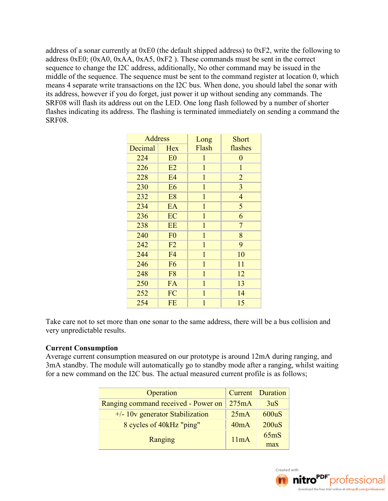address of a sonar currently at 0xE0 (the default shipped address) to 0xF2, write the following to address 0xE0; (0xA0, 0xAA, 0xA5, 0xF2 ). These commands must be sent in the correct sequence to change the I2C address, additionally, No other command may be issued in the middle of the sequence. The sequence must be sent to the command register at location 0, which means 4 separate write transactions on the I2C bus. When done, you should label the sonar with its address, however if you do forget, just power it up without sending any commands. The SRF08 will flash its address out on the LED. One long flash followed by a number of shorter flashes indicating its address. The flashing is terminated immediately on sending a command the SRF08.

| <b>Address</b> |                | Long         | Short          |
|----------------|----------------|--------------|----------------|
| Decimal        | <b>Hex</b>     | Flash        | flashes        |
| 224            | E <sub>0</sub> | $\mathbf{1}$ | $\overline{0}$ |
| 226            | E2             | $\mathbf{1}$ | $\mathbf{1}$   |
| 228            | E4             | $\mathbf 1$  | $\overline{2}$ |
| 230            | E <sub>6</sub> | $\mathbf{1}$ | $\overline{3}$ |
| 232            | E <sub>8</sub> | $\mathbf{1}$ | $\overline{4}$ |
| 234            | EA             | $\mathbf{1}$ | 5              |
| 236            | EC             | $\mathbf{1}$ | 6              |
| 238            | <b>EE</b>      | $\mathbf{1}$ | $\overline{7}$ |
| 240            | F <sub>0</sub> | $\mathbf{1}$ | 8              |
| 242            | F2             | $\mathbf{1}$ | 9              |
| 244            | F <sub>4</sub> | $\mathbf{1}$ | 10             |
| 246            | F <sub>6</sub> | $\mathbf{1}$ | 11             |
| 248            | F <sub>8</sub> | $\mathbf{1}$ | 12             |
| 250            | FA             | $\mathbf{1}$ | 13             |
| 252            | FC             | $\mathbf{1}$ | 14             |
| 254            | <b>FE</b>      | $\mathbf{1}$ | 15             |

Take care not to set more than one sonar to the same address, there will be a bus collision and very unpredictable results.

### **Current Consumption**

Average current consumption measured on our prototype is around 12mA during ranging, and 3mA standby. The module will automatically go to standby mode after a ranging, whilst waiting for a new command on the I2C bus. The actual measured current profile is as follows;

| Operation                           |       | <b>Current</b> Duration |
|-------------------------------------|-------|-------------------------|
| Ranging command received - Power on | 275mA | 3uS                     |
| $+/- 10v$ generator Stabilization   | 25mA  | 600uS                   |
| 8 cycles of 40kHz "ping"            | 40mA  | 200uS                   |
| Ranging                             | 11mA  | 65mS                    |
|                                     |       | max                     |